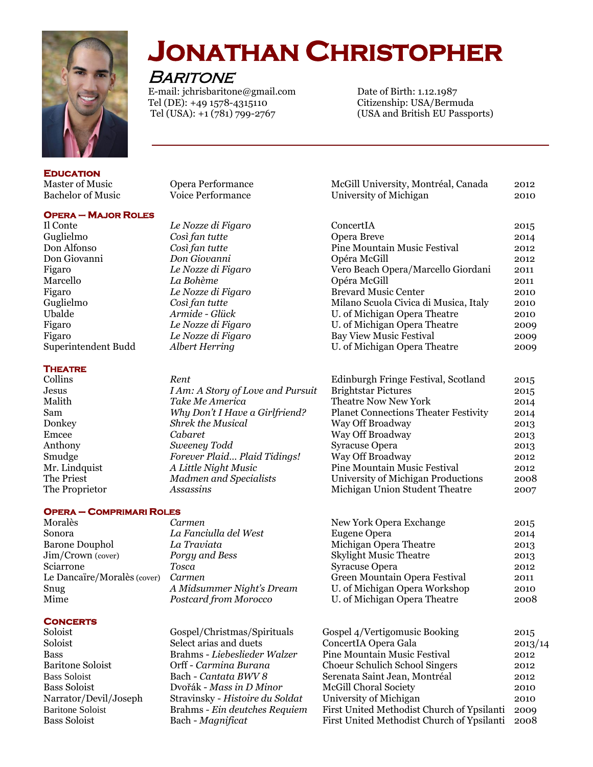

## **JONATHAN CHRISTOPHER**

**BARITONE** 

 E-mail: jchrisbaritone@gmail.com Date of Birth: 1.12.1987 Tel (DE): +49 1578-4315110<br>
Tel (USA): +1 (781) 799-2767<br>
Citizenship: USA And British EU Passpo

(USA and British EU Passports)

**Education**  Master of Music Opera Performance McGill University, Montréal, Canada 2012 Bachelor of Music Voice Performance University of Michigan 2010

#### **OPERA – MAJOR ROLES**

#### **THEATRE**

*I Am: A Story of Love and Pursuit* Brightstar *I Am: A Story of Love and Pursu* Malith *Take Me America* Sam *Why Don't I Have a Girlfriend?* **Donkey** *Shrek the Musical* 

#### **OPERA – COMPRIMARI ROLES**

| Carmen                    |                               | 2015                    |
|---------------------------|-------------------------------|-------------------------|
| La Fanciulla del West     | Eugene Opera                  | 2014                    |
| La Traviata               | Michigan Opera Theatre        | 2013                    |
| Porgy and Bess            | <b>Skylight Music Theatre</b> | 2013                    |
| Tosca                     | Syracuse Opera                | 2012                    |
| Carmen                    | Green Mountain Opera Festival | 2011                    |
| A Midsummer Night's Dream | U. of Michigan Opera Workshop | 2010                    |
| Postcard from Morocco     | U. of Michigan Opera Theatre  | 2008                    |
|                           | Le Dancaïre/Moralès (cover)   | New York Opera Exchange |

#### **Concerts**

Soloist Gospel/Christmas/Spiritual Soloist Select arias and duets Bass Soloist Bach - *Cantata BWV 8* Bass Soloist Bach - *Magnificat* 

Bass Brahms - *Liebeslieder Walzer* Baritone Soloist **Orff** - *Carmina Burana* Bass Soloist Dvořák - *Mass in D Minor* Narrator/Devil/Joseph Stravinsky - *Histoire du Sold* Baritone Soloist **Brahms** - *Ein deutches Requ* 

| buchciói ól Music          | olee 1 chominance                 |                                             | ∸ບ⊥ບ |
|----------------------------|-----------------------------------|---------------------------------------------|------|
| <b>OPERA - MAJOR ROLES</b> |                                   |                                             |      |
| Il Conte                   | Le Nozze di Figaro                | ConcertIA                                   | 2015 |
| Guglielmo                  | Così fan tutte                    | Opera Breve                                 | 2014 |
| Don Alfonso                | Così fan tutte                    | Pine Mountain Music Festival                | 2012 |
| Don Giovanni               | Don Giovanni                      | Opéra McGill                                | 2012 |
| Figaro                     | Le Nozze di Figaro                | Vero Beach Opera/Marcello Giordani          | 2011 |
| Marcello                   | La Bohème                         | Opéra McGill                                | 2011 |
| Figaro                     | Le Nozze di Figaro                | <b>Brevard Music Center</b>                 | 2010 |
| Guglielmo                  | Così fan tutte                    | Milano Scuola Civica di Musica, Italy       | 2010 |
| Ubalde                     | Armide - Glück                    | U. of Michigan Opera Theatre                | 2010 |
| Figaro                     | Le Nozze di Figaro                | U. of Michigan Opera Theatre                | 2009 |
| Figaro                     | Le Nozze di Figaro                | <b>Bay View Music Festival</b>              | 2009 |
| Superintendent Budd        | Albert Herring                    | U. of Michigan Opera Theatre                | 2009 |
| <b>THEATRE</b>             |                                   |                                             |      |
| Collins                    | Rent                              | Edinburgh Fringe Festival, Scotland         | 2015 |
| Jesus                      | I Am: A Story of Love and Pursuit | <b>Brightstar Pictures</b>                  | 2015 |
| Malith                     | Take Me America                   | <b>Theatre Now New York</b>                 | 2014 |
| Sam                        | Why Don't I Have a Girlfriend?    | <b>Planet Connections Theater Festivity</b> | 2014 |
| Donkey                     | <b>Shrek the Musical</b>          | Way Off Broadway                            | 2013 |
| Emcee                      | Cabaret                           | Way Off Broadway                            | 2013 |
| Anthony                    | Sweeney Todd                      | <b>Syracuse Opera</b>                       | 2013 |

Smudge *Forever Plaid… Plaid Tidings!* Way Off Broadway 2012 Mr. Lindquist *A Little Night Music* Pine Mountain Music Festival 2012 The Priest *Madmen and Specialists* University of Michigan Productions 2008<br>The Proprietor *Assassins Michigan Union Student Theatre* 2007 Assassins Michigan Union Student Theatre 2007

| New York Opera Exchange       | 2015 |
|-------------------------------|------|
| Eugene Opera                  | 2014 |
| Michigan Opera Theatre        | 2013 |
| <b>Skylight Music Theatre</b> | 2013 |
| Syracuse Opera                | 2012 |
| Green Mountain Opera Festival | 2011 |
| U. of Michigan Opera Workshop | 2010 |
| U. of Michigan Opera Theatre  | 2008 |
|                               |      |

|                                            | 2015                                                                                         |
|--------------------------------------------|----------------------------------------------------------------------------------------------|
|                                            |                                                                                              |
|                                            | 2013/14                                                                                      |
|                                            | 2012                                                                                         |
| Choeur Schulich School Singers             | 2012                                                                                         |
| Serenata Saint Jean, Montréal              | 2012                                                                                         |
| <b>McGill Choral Society</b>               | 2010                                                                                         |
| University of Michigan                     | 2010                                                                                         |
| First United Methodist Church of Ypsilanti | 2009                                                                                         |
| First United Methodist Church of Ypsilanti | 2008                                                                                         |
|                                            | Gospel 4/Vertigomusic Booking<br>ConcertIA Opera Gala<br><b>Pine Mountain Music Festival</b> |